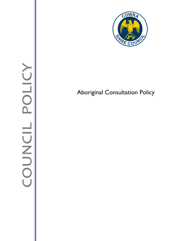

## Aboriginal Consultation Policy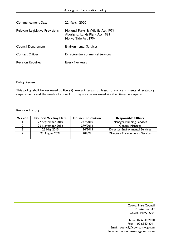| <b>Commencement Date</b>        | 22 March 2020                                                                                  |  |
|---------------------------------|------------------------------------------------------------------------------------------------|--|
| Relevant Legislative Provisions | National Parks & Wildlife Act 1974<br>Aboriginal Lands Right Act 1983<br>Native Title Act 1994 |  |
| <b>Council Department</b>       | <b>Environmental Services</b>                                                                  |  |
| <b>Contact Officer</b>          | Director-Environmental Services                                                                |  |
| <b>Revision Required</b>        | Every five years                                                                               |  |

## **Policy Review**

This policy shall be reviewed at five (5) yearly intervals at least, to ensure it meets all statutory requirements and the needs of council. It may also be reviewed at other times as required

#### Revision History

| <b>Version</b> | <b>Council Meeting Date</b> | <b>Council Resolution</b> | <b>Responsible Officer</b>              |  |
|----------------|-----------------------------|---------------------------|-----------------------------------------|--|
|                | 27 September 2010           | 277/2010                  | <b>Manager-Planning Services</b>        |  |
|                | 26 November 2012            | 279/2012                  | General Manager                         |  |
|                | 25 May 2015                 | 134/2015                  | <b>Director-Environmental Services</b>  |  |
|                | 23 August 2021              | 202/21                    | <b>Director- Environmental Services</b> |  |
|                |                             |                           |                                         |  |

Cowra Shire Council Private Bag 342 Cowra NSW 2794

Phone: 02 6340 2000 Fax: 02 6340 2011 Email: council@cowra.nsw.gov.au Internet: [www.cowraregion.com.au](http://www.cowraregion.com.au/)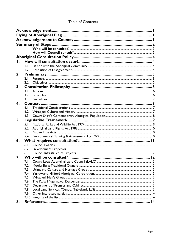| Ι.           |              |  |  |  |  |
|--------------|--------------|--|--|--|--|
|              | $\mathsf{L}$ |  |  |  |  |
|              | 1.2          |  |  |  |  |
| 2.           |              |  |  |  |  |
|              | 2.1          |  |  |  |  |
|              | 2.2          |  |  |  |  |
| 3.           |              |  |  |  |  |
|              | 3.1          |  |  |  |  |
|              | 3.2          |  |  |  |  |
|              | 3.3          |  |  |  |  |
| $\mathbf 4.$ |              |  |  |  |  |
|              | 4.1          |  |  |  |  |
|              | 4.2          |  |  |  |  |
|              | 4.3          |  |  |  |  |
| 5.           |              |  |  |  |  |
|              | 5.1          |  |  |  |  |
|              | 5.2          |  |  |  |  |
|              | 5.3          |  |  |  |  |
|              | 5.4          |  |  |  |  |
| 6.           |              |  |  |  |  |
|              | 6.1          |  |  |  |  |
|              | 6.2          |  |  |  |  |
|              | 6.3          |  |  |  |  |
| 7.           |              |  |  |  |  |
|              | 7.1          |  |  |  |  |
|              | 7.2          |  |  |  |  |
|              | 7.3          |  |  |  |  |
|              | 7.4          |  |  |  |  |
|              | 7.5          |  |  |  |  |
|              | 7.6          |  |  |  |  |
|              | 7.7          |  |  |  |  |
|              | 7.8          |  |  |  |  |
|              | 7.9          |  |  |  |  |
|              |              |  |  |  |  |
| 8.           |              |  |  |  |  |

## **Table of Contents**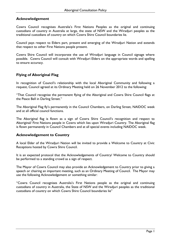## <span id="page-3-0"></span>**Acknowledgement**

Cowra Council recognises Australia's First Nations Peoples as the original and continuing custodians of country in Australia at large, the state of NSW and the Wiradjuri peoples as the traditional custodians of country on which Cowra Shire Council boundaries lie.

Council pays respect to Elders part, present and emerging of the Wiradjuri Nation and extends that respect to other First Nations people present.

Cowra Shire Council will incorporate the use of Wiradjuri language in Council signage where possible. Cowra Council will consult with Wiradjuri Elders on the appropriate words and spelling to ensure accuracy.

## <span id="page-3-1"></span>**Flying of Aboriginal Flag**

In recognition of Council's relationship with the local Aboriginal Community and following a request, Council agreed at its Ordinary Meeting held on 26 November 2012 to the following:

"That Council recognise the permanent flying of the Aboriginal and Cowra Shire Council flags at the Peace Bell in Darling Street."

The Aboriginal Flag fly's permanently in the Council Chambers, on Darling Street, NAIDOC week and at all official council functions.

The Aboriginal flag is flown as a sign of Cowra Shire Council's recognition and respect to Aboriginal/ First Nations people in Cowra which lies upon Wiradjuri Country. The Aboriginal flag is flown permanently in Council Chambers and at all special events including NAIDOC week.

## <span id="page-3-2"></span>**Acknowledgement to Country**

A local Elder of the Wiradjuri Nation will be invited to provide a Welcome to Country at Civic Receptions hosted by Cowra Shire Council.

It is an expected protocol that the Acknowledgements of Country/ Welcome to Country should be performed to a standing crowd as a sign of respect.

The Mayor of Cowra Council may also provide an Acknowledgement to Country prior to giving a speech or chairing an important meeting, such as an Ordinary Meeting of Council. The Mayor may use the following Acknowledgement or something similar:

"Cowra Council recognises Australia's First Nations people as the original and continuing custodians of country in Australia, the State of NSW and the Wiradjuri peoples as the traditional custodians of country on which Cowra Shire Council boundaries lie"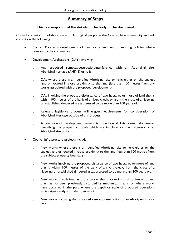## **Summary of Steps**

## **This is a snap shot of the details in the body of the document**

<span id="page-4-0"></span>Council commits to collaboration with Aboriginal people in the Cowra Shire community and will consult on the following:

- Council Policies development of new, or amendment of existing policies where relevant to the community;
- Development Applications (DA's) involving:
	- o Any proposed removal/destruction/interference with an Aboriginal site, Aboriginal heritage (AHIMS) or relic;
	- o DAs where there is an identified Aboriginal site or relic either on the subject land or located in close proximity to the land (less than 100 metres from any works associated with the proposed development);
	- o DAs involving the proposed disturbance of two hectares or more of land that is within 100 metres of the bank of a river, creek, or from the crest of a ridgeline or established timbered areas assessed to be more than 100 years old.
	- o Relevant legislative process will trigger requirements for consideration of Aboriginal Heritage outside of this process.
	- o A condition of development consent is placed on all DA consent documents describing the proper protocols which are in place for the discovery of an Aboriginal site or item.
- Council infrastructure projects include:
	- o New works where there is an identified Aboriginal site or relic either on the subject land or located in close proximity to the land (less than 100 metres from the subject property boundary);
	- o New works involving the proposed disturbance of two hectares or more of land that is within 100 metres of the bank of a river, creek, from the crest of a ridgeline or established timbered areas assessed to be more than 100 years old;
	- o New works are defined as those works that involve initial disturbance to land that has not been previously disturbed by mechanical means, or where works have occurred in the past, where the depth or scale of proposed operations varies significantly from that past work.
	- o New works involving the proposed removal/destruction of an Aboriginal site or relic;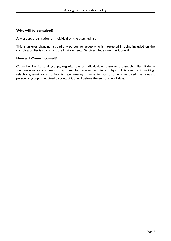## <span id="page-5-0"></span>**Who will be consulted?**

Any group, organisation or individual on the attached list.

This is an ever-changing list and any person or group who is interested in being included on the consultation list is to contact the Environmental Services Department at Council.

#### <span id="page-5-1"></span>**How will Council consult?**

Council will write to all groups, organisations or individuals who are on the attached list. If there are concerns or comments they must be received within 21 days. This can be in writing, telephone, email or via a face to face meeting. If an extension of time is required the relevant person of group is required to contact Council before the end of the 21 days.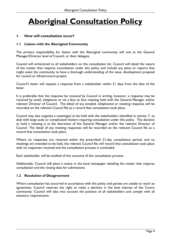# <span id="page-6-0"></span>**Aboriginal Consultation Policy**

## <span id="page-6-1"></span>**1. How will consultation occur?**

## <span id="page-6-2"></span>**1.1 Liaison with the Aboriginal Community**

The primary responsibility for liaison with the Aboriginal community will rest at the General Manager/Director level of Council, or their delegate.

Council will write/email to all stakeholders on the consultation list. Council will detail the nature of the matter that requires consultation under this policy and include any plans or reports that might assist the community to have a thorough understanding of the issue, development proposal for council or infrastructure project.

Council's letter will request a response from a stakeholder within 21 days from the date of the letter.

It is preferable that the response be received by Council in writing, however, a response may be received by email, telephone or via a face to face meeting held with the General Manager and/or relevant Director of Council. The detail of any emailed, telephoned or meeting response will be recorded on the relevant Council file as a record that consultation took place.

Council may also organise a meeting(s) to be held with the stakeholders identified in section 7, to deal with large scale or complicated matters requiring consultation under this policy. The decision to hold a meeting is at the discretion of the General Manager and/or the relevant Director of Council. The detail of any meeting responses will be recorded on the relevant Council file as a record that consultation took place.

Where no responses are received within the prescribed 21-day consultation period, and no meetings are intended to be held, the relevant Council file will record that consultation took place with no responses received and the consultation process is concluded.

Each stakeholder will be notified of the outcome of the consultation process.

Additionally, Council will place a notice in the local newspaper detailing the matter that requires consultation and the closing date for submissions.

## <span id="page-6-3"></span>**1.2 Resolution of Disagreement**

Where consultation has occurred in accordance with this policy and parties are unable to reach an agreement, Council reserves the right to make a decision in the best interest of the Cowra community. Council will take into account the position of all stakeholders and comply with all statutory requirements.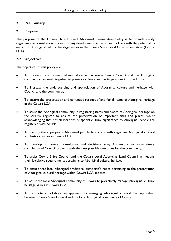## <span id="page-7-0"></span>**2. Preliminary**

## <span id="page-7-1"></span>**2.1 Purpose**

The purpose of the Cowra Shire Council Aboriginal Consultation Policy is to provide clarity regarding the consultation process for any development activities and policies with the potential to impact on Aboriginal cultural heritage values in the Cowra Shire Local Government Area (Cowra LGA).

## <span id="page-7-2"></span>**2.2 Objectives**

The objectives of this policy are:

- To create an environment of mutual respect whereby Cowra Council and the Aboriginal community can work together to preserve cultural and heritage values into the future;
- To increase the understanding and appreciation of Aboriginal culture and heritage with Council and the community;
- To ensure the preservation and continued respect of and for all items of Aboriginal heritage in the Cowra LGA.
- To assist the Aboriginal community in registering items and places of Aboriginal heritage on the AHIMS register to ensure the preservation of important sites and places, whilst acknowledging that not all locations of special cultural significance to Aboriginal people are registered with AHIMS;
- To identify the appropriate Aboriginal people to consult with regarding Aboriginal cultural and historic values in Cowra LGA;
- To develop an overall consultative and decision-making framework to allow timely completion of Council projects with the best possible outcomes for the community;
- To assist Cowra Shire Council and the Cowra Local Aboriginal Land Council in meeting their legislative requirements pertaining to Aboriginal cultural heritage;
- To ensure that local Aboriginal traditional custodian's needs pertaining to the preservation of Aboriginal cultural heritage within Cowra LGA are met;
- To assist the local Aboriginal community of Cowra to proactively manage Aboriginal cultural heritage values in Cowra LGA;
- To promote a collaborative approach to managing Aboriginal cultural heritage values between Cowra Shire Council and the local Aboriginal community of Cowra.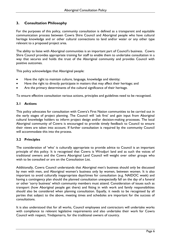## <span id="page-8-0"></span>**3. Consultation Philosophy**

For the purposes of this policy, community consultation is defined as a transparent and equitable communication process between Cowra Shire Council and Aboriginal people who have cultural heritage knowledge and or other cultural connections to land and/or water or any other type relevant to a proposed project area.

The ability to liaise with Aboriginal communities is an important part of Council's business. Cowra Shire Council provides appropriate training for staff to enable them to undertake consultation in a way that secures and holds the trust of the Aboriginal community and provides Council with positive outcomes.

This policy acknowledges that Aboriginal people:

- Have the right to maintain culture, language, knowledge and identity;
- Have the right to directly participate in matters that may affect their heritage; and
- Are the primary determinants of the cultural significance of their heritage.

To ensure effective consultation various actions, principles and guidelines need to be recognised.

## <span id="page-8-1"></span>**3.1 Actions**

This policy advocates for consultation with Cowra's First Nation communities to be carried out in the early stages of project planning. The Council will 'ask first' and gain input from Aboriginal cultural knowledge holders to inform project design and/or decision-making processes. The local Aboriginal community of Cowra is encouraged to provide timely feedback to Council to ensure their views are taken into account. If further consultation is required by the community Council will accommodate this into the process.

## <span id="page-8-2"></span>**3.2 Principles**

The consideration of 'who' is culturally appropriate to provide advice to Council is an important principle of this policy. It is recognised that Cowra is Wiradjuri land and as such the voices of traditional owners and the Cowra Aboriginal Land Council will weight over other groups who wish to be consulted or are on the Consultation List.

Additionally, Cowra Council understands that Aboriginal men's business should only be discussed by men with men, and Aboriginal women's business only by women, between women. It is also important to avoid culturally inappropriate days/times for consultation (e.g. NAIDOC week) and having a contingency plan should the planned consultation unexpectedly fall on the day of a funeral or other 'sorry business' which community members must attend. Consideration of issues such as transport (how Aboriginal people get there) and fitting in with work and family responsibilities should also be considered when planning consultation. Equally, it needs to be recognised by all parties that subject to the above, meeting times and schedules are important for the success of consultations.

It is also understood that for all works, Council employees and contractors will undertake works with compliance to relevant legislative requirements and also undertake their work for Cowra Council with respect, Yindajamarra, for the traditional owners of country.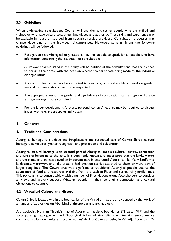## <span id="page-9-0"></span>**3.3 Guidelines**

When undertaking consultation, Council will use the services of people who are skilled and trained or who have cultural awareness, knowledge and authority. These skills and experience may be available in-house or sourced from specialist service providers. Consultation processes may change depending on the individual circumstances. However, as a minimum the following guidelines will be followed:

- Recognition that Aboriginal organisations may not be able to speak for all people who have information concerning the issue/item of consultation;
- All relevant parties listed in this policy will be notified of the consultations that are planned to occur in their area, with the decision whether to participate being made by the individual or organisation;
- Access to information may be restricted to specific groups/stakeholders therefore gender, age and clan associations need to be respected;
- The appropriateness of the gender and age balance of consultation staff and gender balance and age amongst those consulted;
- For the larger developments/projects personal contact/meetings may be required to discuss issues with relevant groups or individuals.

## <span id="page-9-1"></span>**4. Context**

## <span id="page-9-2"></span>**4.1 Traditional Considerations**

Aboriginal heritage is a unique and irreplaceable and respected part of Cowra Shire's cultural heritage that requires greater recognition and protection and celebration.

Aboriginal cultural heritage is an essential part of Aboriginal people's cultural identity, connection and sense of belonging to the land. It is commonly known and understood that the lands, waters and the plants and animals played an important part in traditional Aboriginal life. Many landforms, landscapes, waterways and lake systems had creation stories attached to them or were part of larger song-lines. The Cowra area was significant to traditional Aboriginal people due to the abundance of food and resources available from the Lachlan River and surrounding fertile lands. This policy aims to consult widely with a number of First Nations groups/stakeholders to consider all views and actively support Wiradjuri peoples in their continuing connection and cultural obligations to country.

## <span id="page-9-3"></span>**4.2 Wiradjuri Culture and History**

Cowra Shire is located within the boundaries of the Wiradjuri nation, as evidenced by the work of a number of authorities on Aboriginal anthropology and archaeology.

Archaeologist Norman Tindale's map of Aboriginal linguistic boundaries (Tindale, 1974) and the accompanying catalogue entitled 'Aboriginal tribes of Australia, their terrain, environmental controls, distribution, limits and proper names' depicts Cowra as being in Wiradjuri country. Dr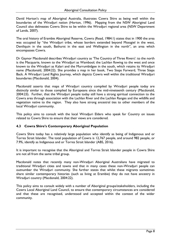David Horton's map of Aboriginal Australia, illustrates Cowra Shire as being well within the boundaries of the Wiradjuri nation (Horton, 1996). Mapping from the NSW Aboriginal Land Council also delineates Cowra Shire to be within the Wiradjuri regional area (NSW Department of Lands, 2007).

The oral history of Erambie Aboriginal Reserve, Cowra (Read, 1984:1) states that in 1900 the area was occupied by "the Wiradjuri tribe, whose borders extended beyond Mossgiel in the west, Deniliquin in the south, Bathurst in the east and Wellington in the north", an area which encompasses Cowra.

Dr Gaynor Macdonald describes Wiradjuri country as 'The Country of Three Rivers': to the north is the Macquarie, known to the Wiradjuri as Wambool; the Lachlan flowing to the west and once known to the Wiradjuri as Kalari and the Murrumbidgee in the south, which retains its Wiradjuri name (Macdonald, 2004:22). She provides a map in her book, Two Steps Forward, Three Steps Back. A Wiradjuri Land Rights Journey, which depicts Cowra well within the traditional Wiradjuri boundaries (Macdonald, 2004).

Macdonald asserts that maps of Wiradjuri country compiled by Wiradjuri people today are distinctly similar to those complied by Europeans since the mid-nineteenth century (Macdonald, 2004:23). Further, that the Wiradjuri people today still have a strong spiritual connection to the Cowra area through association with the Lachlan River and the Lachlan Ranges and the wildlife and vegetation native to the region. They also have strong ancestral ties to other members of the local Wiradjuri community.

This policy aims to consult with the local Wiradjuri Elders who speak for Country on issues related to Cowra Shire to ensure that their views are considered.

## <span id="page-10-0"></span>**4.3 Cowra Shire's Contemporary Aboriginal Population**

Cowra Shire today has a relatively large population who identify as being of Indigenous and or Torres Strait Islander. The total population of Cowra is 12,767 people, and around 982 people, or 7.9%, identify as Indigenous and or Torres Strait Islander (ABS, 2016).

It is important to recognise that the Aboriginal and Torres Strait Islander people in Cowra Shire are not all from the same tribal group.

Macdonald notes that recently many non-Wiradjuri Aboriginal Australians have migrated to traditional Wiradjuri cities and towns and that in many cases these non-Wiradjuri people can outnumber the Wiradjuri community. She further states that whilst these migrants sometimes share similar contemporary histories (such as living at Erambie) they do not have ancestry in Wiradjuri country (Macdonald, 2004:22).

This policy aims to consult widely with a number of Aboriginal groups/stakeholders, including the Cowra Local Aboriginal Land Council, to ensure that contemporary circumstances are considered and that these are recognised, understood and accepted within the context of the wider community.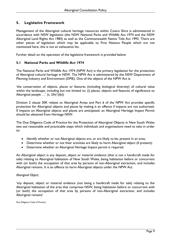## <span id="page-11-0"></span>**5. Legislative Framework**

Management of the Aboriginal cultural heritage resources within Cowra Shire is administered in accordance with NSW legislation (the NSW National Parks and Wildlife Act 1974 and the NSW Aboriginal Land Rights Act 1983) as well as the Commonwealth Native Title Act 1993. There are other pieces of legislation which may be applicable to First Nations People which are not mentioned here, this is not an exhaustive list.

Further detail on the operation of the legislative framework is provided below:

## <span id="page-11-1"></span>**5.1 National Parks and Wildlife Act 1974**

The National Parks and Wildlife Act 1974 (NPW Act) is the primary legislation for the protection of Aboriginal cultural heritage in NSW. The NPW Act is administered by the NSW Department of Planning Industry and Environment (DPIE). One of the objects of the NPW Act is:

'the conservation of objects, places or features (including biological diversity) of cultural value within the landscape, including but not limited to: (i) places, objects and features of significance to Aboriginal people …' (s. 2A(1)(b))

Division 2 clause 30K relates to Aboriginal Areas and Part 6 of the NPW Act provides specific protection for Aboriginal objects and places by making it an offence if impacts are not authorised. If impacts on Aboriginal objects and places are anticipated, an Aboriginal Heritage Impact Permit should be obtained from Heritage NSW.

The Due Diligence Code of Practice for the Protection of Aboriginal Objects in New South Wales sets out reasonable and practicable steps which individuals and organisations need to take in order to:

- Identify whether or not Aboriginal objects are, or are likely to be, present in an area;
- Determine whether or not their activities are likely to harm Aboriginal object (if present);
- Determine whether an Aboriginal Heritage Impact permit is required.

An Aboriginal object is any deposit, object or material evidence (that is not a handicraft made for sale) relating to Aboriginal habitation of New South Wales, being habitation before or concurrent with (or both) the occupation of that area by persons of non-Aboriginal extraction, and includes Aboriginal remains. It is an offence to harm Aboriginal objects under the NPW Act.

## *Aboriginal Object:*

'any deposit, object or material evidence (not being a handicraft made for sale) relating to the Aboriginal habitation of the area that comprises NSW, being habitation before or concurrent with (or both) the occupation of that area by persons of non-Aboriginal extraction, and includes Aboriginal remains'

Due Diligence Code of Practice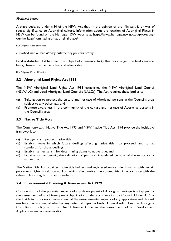## *Aboriginal places:*

A place declared under s.84 of the NPW Act that, in the opinion of the Minister, is or was of special significance to Aboriginal culture. Information about the location of Aboriginal Places in NSW can be found on the Heritage NSW website at [https://www.heritage.nsw.gov.au/protecting](https://www.heritage.nsw.gov.au/protecting-our-heritage/nominating-an-aboriginal-place/)[our-heritage/nominating-an-aboriginal-place/](https://www.heritage.nsw.gov.au/protecting-our-heritage/nominating-an-aboriginal-place/)

Due Diligence Code of Practice

*Disturbed land or land already disturbed by previous activity*

Land is disturbed if it has been the subject of a human activity that has changed the land's surface, being changes that remain clear and observable.

Due Diligence Code of Practice

## <span id="page-12-0"></span>**5.2 Aboriginal Land Rights Act 1983**

The NSW Aboriginal Land Rights Act 1983 establishes the NSW Aboriginal Land Council (NSWALC) and Local Aboriginal Land Councils (LALCs). The Act requires these bodies to:

- (a) Take action to protect the culture and heritage of Aboriginal persons in the Council's area, subject to any other law; and
- (b) Promote awareness in the community of the culture and heritage of Aboriginal persons in the Council's area.

## <span id="page-12-1"></span>**5.3 Native Title Acts**

The Commonwealth Native Title Act 1993 and NSW Native Title Act 1994 provide the legislative framework to:

- (a) Recognise and protect native title;
- (b) Establish ways in which future dealings affecting native title may proceed, and to set standards for those dealings;
- (c) Establish a mechanism for determining claims to native title; and
- (d) Provide for, or permit, the validation of past acts invalidated because of the existence of native title.

The Native Title Act provides native title holders and registered native title claimants with certain procedural rights in relation to Acts which affect native title communities in accordance with the relevant Acts, Regulations and standards.

## <span id="page-12-2"></span>**5.4 Environmental Planning & Assessment Act 1979**

Consideration of the potential impacts of any development of Aboriginal heritage is a key part of the assessment of any Development Application under consideration by Council. Under 4.15 of the EP&A Act involves an assessment of the environmental impacts of any application and this will involve an assessment of whether any potential impact is likely. Council will follow this Aboriginal Consultation Policy and the Due Diligence Code in the assessment of all Development Applications under consideration.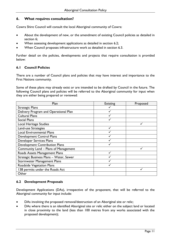## <span id="page-13-0"></span>**6. What requires consultation?**

Cowra Shire Council will consult the local Aboriginal community of Cowra:

- About the development of new, or the amendment of existing Council policies as detailed in section 6;
- When assessing development applications as detailed in section 6.2;
- When Council proposes infrastructure work as detailed in section 6.3.

Further detail on the policies, developments and projects that require consultation is provided below:

## <span id="page-13-1"></span>**6.1 Council Policies**

There are a number of Council plans and policies that may have interest and importance to the First Nations community.

Some of these plans may already exist or are intended to be drafted by Council in the future. The following Council plans and policies will be referred to the Aboriginal community for input when they are either being prepared or reviewed:

| Plan                                    | <b>Existing</b> | Proposed |
|-----------------------------------------|-----------------|----------|
| <b>Strategic Plans</b>                  |                 |          |
| Delivery Program and Operational Plan   |                 |          |
| <b>Cultural Plans</b>                   |                 |          |
| <b>Social Plans</b>                     |                 |          |
| Local Heritage Studies                  |                 |          |
| Land-use Strategies                     |                 |          |
| <b>Local Environmental Plans</b>        |                 |          |
| <b>Development Control Plans</b>        |                 |          |
| Developer Services Plans                |                 |          |
| <b>Development Contribution Plans</b>   |                 |          |
| Community Land - Plans of Management    |                 |          |
| Roads Assets Management Plans           |                 |          |
| Strategic Business Plans - Water, Sewer |                 |          |
| <b>Stormwater Management Plans</b>      |                 |          |
| Roadside Vegetation Plans               |                 |          |
| 138 permits under the Roads Act         |                 |          |
| Other                                   |                 |          |

## <span id="page-13-2"></span>**6.2 Development Proposals**

Development Applications (DAs), irrespective of the proponent, that will be referred to the Aboriginal community for input include:

- DAs involving the proposed removal/destruction of an Aboriginal site or relic;
- DAs where there is an identified Aboriginal site or relic either on the subject land or located in close proximity to the land (less than 100 metres from any works associated with the proposed development);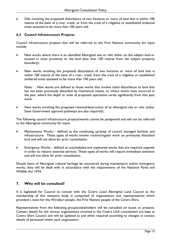DAs involving the proposed disturbance of two hectares or more of land that is within 100 metres of the bank of a river, creek, or from the crest of a ridgeline or established timbered areas assessed to be more than 100 years old.

## <span id="page-14-0"></span>**6.3 Council Infrastructure Projects**

Council infrastructure projects that will be referred to the First Nations community for input include:

- New works where there is an identified Aboriginal site or relic either on the subject land or located in close proximity to the land (less than 100 metres from the subject property boundary);
- New works involving the proposed disturbance of two hectares or more of land that is within 100 metres of the bank of a river, creek, from the crest of a ridgeline or established timbered areas assessed to be more than 100 years old;

Note: New works are defined as those works that involve initial disturbance to land that has not been previously disturbed by mechanical means, or where works have occurred in the past, where the depth or scale of proposed operations varies significantly from that past work.

• New works involving the proposed removal/destruction of an Aboriginal site or relic (other State Government approval pathways are also required);

The following council infrastructure projects/works cannot be postponed and will not be referred to the Aboriginal community for input:

- Maintenance Works defined as the continuing up-keep of council managed facilities and infrastructure. These types of works involve routine/regular work on previously disturbed land and will not allow for prior consultation.
- Emergency Works defined as unscheduled and unplanned works that are required urgently in order to restore essential services. These types of works will require immediate attention and will not allow for prior consultation.

Should items of Aboriginal cultural heritage be uncovered during maintenance and/or emergency works, they will be dealt with in accordance with the requirements of the National Parks and Wildlife Act 1974.

## <span id="page-14-1"></span>**7. Who will be consulted?**

It is legislated for Council to consult with the Cowra Local Aboriginal Land Council as the membership of this statutory body is comprised of organisations and representatives which provided a voice for the Wiradjuri people, the First Nations people of the Cowra Shire.

Representatives from the following groups/stakeholders will be consulted on issues or projects. Contact details for the various organisations involved in the Cowra LGA consultation are kept at Cowra Shire Council and will be updated as and when required according to changes in contact details of personnel within each organisation.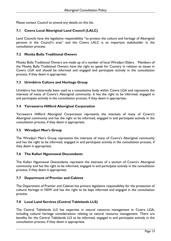Please contact Council to amend any details on this list.

## <span id="page-15-0"></span>**7.1 Cowra Local Aboriginal Land Council (LALC)**

Land Councils have the legislative responsibility "to protect the culture and heritage of Aboriginal persons in the Council's area" and the Cowra LALC is an important stakeholder in the consultation process.

## <span id="page-15-1"></span>**7.2 Mooka Bulla Traditional Owners**

Mooka Bulla Traditional Owners are made up of a number of local Wiradjuri Elders. Members of the Mooka Bulla Traditional Owners have the right to speak for Country in relation to issues in Cowra LGA and should be informed and engaged and participate actively in the consultation process, if they deem it appropriate.

## <span id="page-15-2"></span>**7.3 Urimbirra Culture and Heritage Group**

Urimbirra has historically been used as a consultative body within Cowra LGA and represents the interests of many of Cowra's Aboriginal community. It has the right to be informed, engaged in and participate actively in the consultation process, if they deem it appropriate.

## <span id="page-15-3"></span>**7.4 Yarrawarra Hillford Aboriginal Corporation**

Yarrawarra Hillford Aboriginal Corporation represents the interests of many of Cowra's Aboriginal community and has the right to be informed, engaged in and participate actively in the consultation process, if they deem it appropriate.

## <span id="page-15-4"></span>**7.5 Wiradjuri Men's Group**

The Wiradjuri Men's Group represents the interests of many of Cowra's Aboriginal community and has the right to be informed, engaged in and participate actively in the consultation process, if they deem it appropriate.

## <span id="page-15-5"></span>**7.6 The Kallari Ngunnawal Descendants**

The Kallari Ngunnawal Descendants represent the interests of a section of Cowra's Aboriginal community and has the right to be informed, engaged in and participate actively in the consultation process, if they deem it appropriate.

## <span id="page-15-6"></span>**7.7 Department of Premier and Cabinet**

The Department of Premier and Cabinet has primary legislative responsibility for the protection of cultural heritage in NSW and has the right to be kept informed and engaged in the consultation process.

## <span id="page-15-7"></span>**7.8 Local Land Services (Central Tablelands LLS)**

The Central Tablelands LLS has expertise in natural resource management in Cowra LGA, including cultural heritage considerations relating to natural resource management. There are benefits for the Central Tablelands LLS to be informed, engaged in and participate actively in the consultation process, if they deem it appropriate.